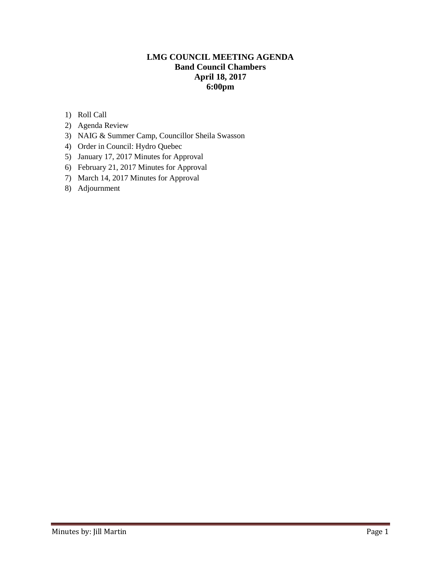# **LMG COUNCIL MEETING AGENDA Band Council Chambers April 18, 2017 6:00pm**

- 1) Roll Call
- 2) Agenda Review
- 3) NAIG & Summer Camp, Councillor Sheila Swasson
- 4) Order in Council: Hydro Quebec
- 5) January 17, 2017 Minutes for Approval
- 6) February 21, 2017 Minutes for Approval
- 7) March 14, 2017 Minutes for Approval
- 8) Adjournment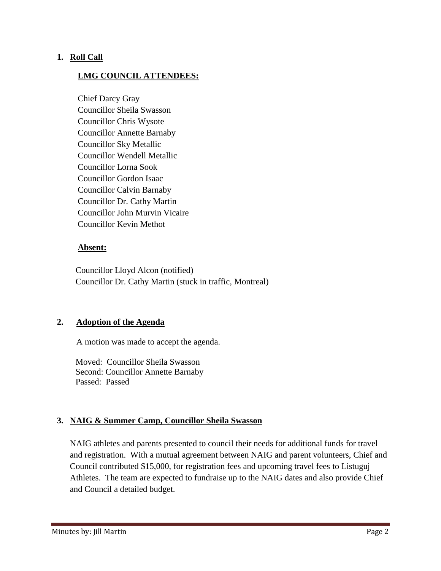# **1. Roll Call**

# **LMG COUNCIL ATTENDEES:**

Chief Darcy Gray Councillor Sheila Swasson Councillor Chris Wysote Councillor Annette Barnaby Councillor Sky Metallic Councillor Wendell Metallic Councillor Lorna Sook Councillor Gordon Isaac Councillor Calvin Barnaby Councillor Dr. Cathy Martin Councillor John Murvin Vicaire Councillor Kevin Methot

# **Absent:**

 Councillor Lloyd Alcon (notified) Councillor Dr. Cathy Martin (stuck in traffic, Montreal)

# **2. Adoption of the Agenda**

A motion was made to accept the agenda.

 Moved: Councillor Sheila Swasson Second: Councillor Annette Barnaby Passed: Passed

# **3. NAIG & Summer Camp, Councillor Sheila Swasson**

NAIG athletes and parents presented to council their needs for additional funds for travel and registration. With a mutual agreement between NAIG and parent volunteers, Chief and Council contributed \$15,000, for registration fees and upcoming travel fees to Listuguj Athletes. The team are expected to fundraise up to the NAIG dates and also provide Chief and Council a detailed budget.